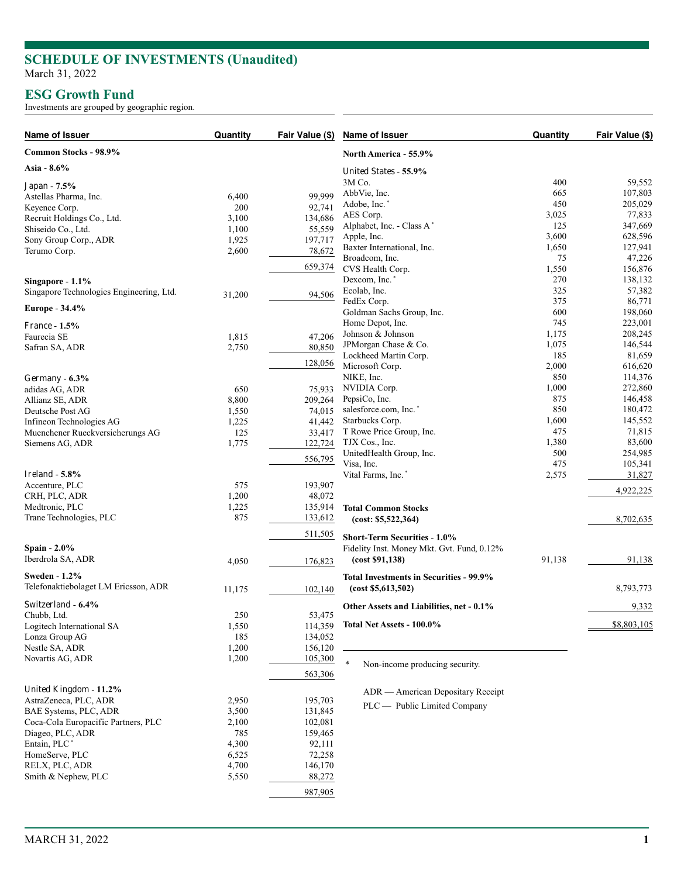## **SCHEDULE OF INVESTMENTS (Unaudited)** March 31, 2022

## **ESG Growth Fund**

Investments are grouped by geographic region.

| Name of Issuer                           | Quantity | Fair Value (\$) | Name of Issuer                             | Quantity | Fair Value (\$) |
|------------------------------------------|----------|-----------------|--------------------------------------------|----------|-----------------|
| Common Stocks - 98.9%                    |          |                 | North America - 55.9%                      |          |                 |
| Asia - 8.6%                              |          |                 | United States - 55.9%                      |          |                 |
| Japan - 7.5%                             |          |                 | 3M Co.                                     | 400      | 59,552          |
| Astellas Pharma, Inc.                    | 6,400    | 99,999          | AbbVie, Inc.                               | 665      | 107,803         |
| Keyence Corp.                            | 200      | 92,741          | Adobe, Inc.*                               | 450      | 205,029         |
| Recruit Holdings Co., Ltd.               | 3,100    | 134,686         | AES Corp.                                  | 3,025    | 77,833          |
| Shiseido Co., Ltd.                       | 1,100    | 55,559          | Alphabet, Inc. - Class A*                  | 125      | 347,669         |
|                                          | 1,925    | 197,717         | Apple, Inc.                                | 3,600    | 628,596         |
| Sony Group Corp., ADR<br>Terumo Corp.    |          |                 | Baxter International, Inc.                 | 1,650    | 127,941         |
|                                          | 2,600    | 78,672          | Broadcom, Inc.                             | 75       | 47,226          |
|                                          |          | 659,374         | CVS Health Corp.                           | 1,550    | 156,876         |
| Singapore - 1.1%                         |          |                 | Dexcom, Inc.*                              | 270      | 138,132         |
|                                          |          |                 | Ecolab, Inc.                               | 325      | 57,382          |
| Singapore Technologies Engineering, Ltd. | 31,200   | 94,506          | FedEx Corp.                                | 375      | 86,771          |
| Europe - 34.4%                           |          |                 | Goldman Sachs Group, Inc.                  | 600      | 198,060         |
|                                          |          |                 |                                            |          |                 |
| <b>France - 1.5%</b>                     |          |                 | Home Depot, Inc.                           | 745      | 223,001         |
| Faurecia SE                              | 1,815    | 47,206          | Johnson & Johnson                          | 1,175    | 208,245         |
| Safran SA, ADR                           | 2,750    | 80,850          | JPMorgan Chase & Co.                       | 1,075    | 146,544         |
|                                          |          |                 | Lockheed Martin Corp.                      | 185      | 81,659          |
|                                          |          | 128,056         | Microsoft Corp.                            | 2,000    | 616,620         |
| Germany - 6.3%                           |          |                 | NIKE, Inc.                                 | 850      | 114,376         |
| adidas AG, ADR                           | 650      | 75,933          | NVIDIA Corp.                               | 1,000    | 272,860         |
| Allianz SE, ADR                          | 8,800    | 209,264         | PepsiCo, Inc.                              | 875      | 146,458         |
| Deutsche Post AG                         | 1,550    | 74,015          | salesforce.com, Inc.*                      | 850      | 180,472         |
| Infineon Technologies AG                 | 1,225    | 41,442          | Starbucks Corp.                            | 1,600    | 145,552         |
| Muenchener Rueckversicherungs AG         | 125      | 33,417          | T Rowe Price Group, Inc.                   | 475      | 71,815          |
| Siemens AG, ADR                          | 1,775    | 122,724         | TJX Cos., Inc.                             | 1,380    | 83,600          |
|                                          |          |                 | UnitedHealth Group, Inc.                   | 500      | 254,985         |
|                                          |          | 556,795         | Visa, Inc.                                 | 475      | 105,341         |
| Ireland - $5.8\%$                        |          |                 | Vital Farms, Inc.*                         | 2,575    | 31,827          |
| Accenture, PLC                           | 575      | 193,907         |                                            |          |                 |
|                                          | 1,200    | 48,072          |                                            |          | 4,922,225       |
| CRH, PLC, ADR                            |          |                 |                                            |          |                 |
| Medtronic, PLC                           | 1,225    | 135,914         | <b>Total Common Stocks</b>                 |          |                 |
| Trane Technologies, PLC                  | 875      | 133,612         | (cost: \$5,522,364)                        |          | 8,702,635       |
|                                          |          | 511,505         |                                            |          |                 |
|                                          |          |                 | <b>Short-Term Securities - 1.0%</b>        |          |                 |
| Spain - 2.0%                             |          |                 | Fidelity Inst. Money Mkt. Gvt. Fund, 0.12% |          |                 |
| Iberdrola SA, ADR                        | 4,050    | 176,823         | (cost \$91,138)                            | 91,138   | 91,138          |
| <b>Sweden - 1.2%</b>                     |          |                 | Total Investments in Securities - 99.9%    |          |                 |
| Telefonaktiebolaget LM Ericsson, ADR     |          |                 |                                            |          | 8,793,773       |
|                                          | 11,175   | 102,140         | (cost \$5,613,502)                         |          |                 |
| Switzerland - 6.4%                       |          |                 | Other Assets and Liabilities, net - 0.1%   |          | 9,332           |
| Chubb, Ltd.                              | 250      | 53,475          |                                            |          |                 |
| Logitech International SA                | 1,550    | 114,359         | Total Net Assets - 100.0%                  |          | \$8,803,105     |
| Lonza Group AG                           | 185      | 134,052         |                                            |          |                 |
| Nestle SA, ADR                           | 1,200    | 156,120         |                                            |          |                 |
| Novartis AG, ADR                         | 1,200    | 105,300         |                                            |          |                 |
|                                          |          |                 | Non-income producing security.             |          |                 |
|                                          |          | 563,306         |                                            |          |                 |
| United Kingdom - 11.2%                   |          |                 | ADR — American Depositary Receipt          |          |                 |
| AstraZeneca, PLC, ADR                    | 2,950    | 195,703         |                                            |          |                 |
| BAE Systems, PLC, ADR                    | 3,500    | 131,845         | PLC — Public Limited Company               |          |                 |
| Coca-Cola Europacific Partners, PLC      | 2,100    | 102,081         |                                            |          |                 |
|                                          |          |                 |                                            |          |                 |
| Diageo, PLC, ADR                         | 785      | 159,465         |                                            |          |                 |
| Entain, PLC <sup>*</sup>                 | 4,300    | 92,111          |                                            |          |                 |
| HomeServe, PLC                           | 6,525    | 72,258          |                                            |          |                 |
| RELX, PLC, ADR                           | 4,700    | 146,170         |                                            |          |                 |
| Smith & Nephew, PLC                      | 5,550    | 88,272          |                                            |          |                 |
|                                          |          | 987,905         |                                            |          |                 |